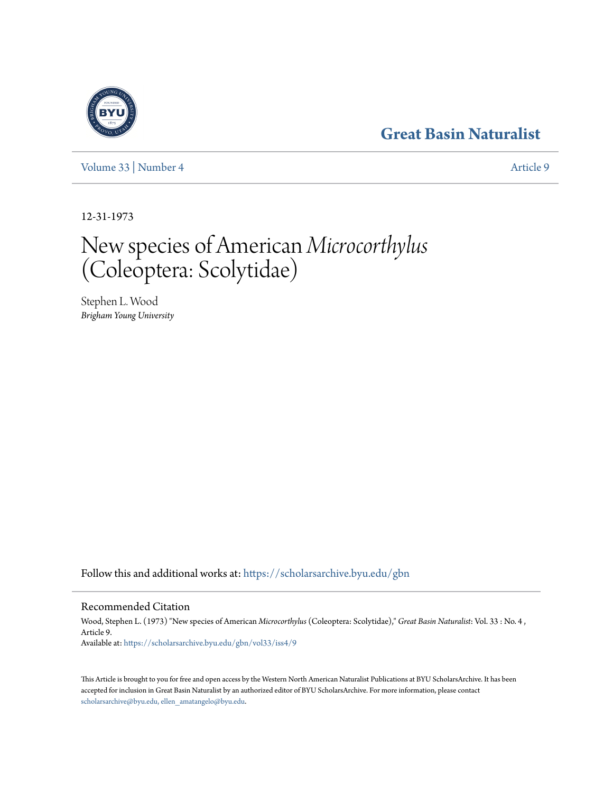# **[Great Basin Naturalist](https://scholarsarchive.byu.edu/gbn?utm_source=scholarsarchive.byu.edu%2Fgbn%2Fvol33%2Fiss4%2F9&utm_medium=PDF&utm_campaign=PDFCoverPages)**

[Volume 33](https://scholarsarchive.byu.edu/gbn/vol33?utm_source=scholarsarchive.byu.edu%2Fgbn%2Fvol33%2Fiss4%2F9&utm_medium=PDF&utm_campaign=PDFCoverPages) | [Number 4](https://scholarsarchive.byu.edu/gbn/vol33/iss4?utm_source=scholarsarchive.byu.edu%2Fgbn%2Fvol33%2Fiss4%2F9&utm_medium=PDF&utm_campaign=PDFCoverPages) [Article 9](https://scholarsarchive.byu.edu/gbn/vol33/iss4/9?utm_source=scholarsarchive.byu.edu%2Fgbn%2Fvol33%2Fiss4%2F9&utm_medium=PDF&utm_campaign=PDFCoverPages)

12-31-1973

# New species of American *Microcorthylus* (Coleoptera: Scolytidae)

Stephen L. Wood *Brigham Young University*

Follow this and additional works at: [https://scholarsarchive.byu.edu/gbn](https://scholarsarchive.byu.edu/gbn?utm_source=scholarsarchive.byu.edu%2Fgbn%2Fvol33%2Fiss4%2F9&utm_medium=PDF&utm_campaign=PDFCoverPages)

# Recommended Citation

Wood, Stephen L. (1973) "New species of American *Microcorthylus* (Coleoptera: Scolytidae)," *Great Basin Naturalist*: Vol. 33 : No. 4 , Article 9. Available at: [https://scholarsarchive.byu.edu/gbn/vol33/iss4/9](https://scholarsarchive.byu.edu/gbn/vol33/iss4/9?utm_source=scholarsarchive.byu.edu%2Fgbn%2Fvol33%2Fiss4%2F9&utm_medium=PDF&utm_campaign=PDFCoverPages)

This Article is brought to you for free and open access by the Western North American Naturalist Publications at BYU ScholarsArchive. It has been accepted for inclusion in Great Basin Naturalist by an authorized editor of BYU ScholarsArchive. For more information, please contact [scholarsarchive@byu.edu, ellen\\_amatangelo@byu.edu.](mailto:scholarsarchive@byu.edu,%20ellen_amatangelo@byu.edu)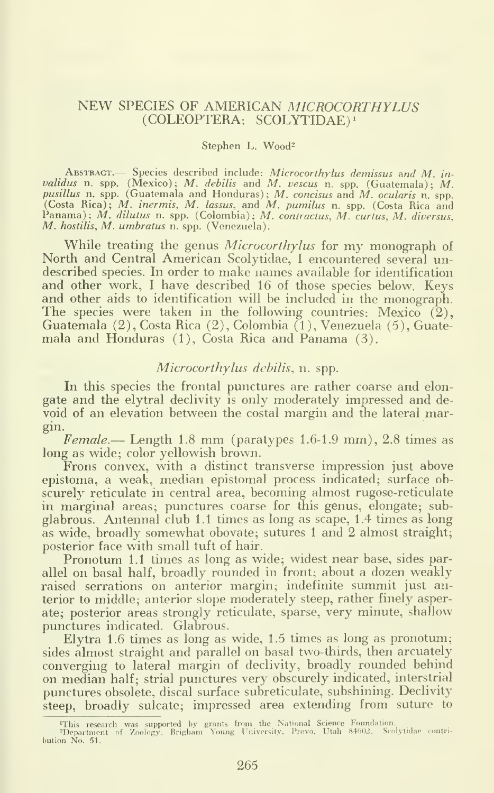# NEW SPECIES OF AMERICAN MICROCORTHYLUS (COLEOPTERA. SCOLYTIDAE)^

#### Stephen L. Wood<sup>2</sup>

ABSTRACT. Species described include: Microcorthylus demissus and M. invalidus n. spp. (Mexico); M. debilis and M. vescus n. spp. (Guatemala); M. pusillus n. spp. (Guatemala and Honduras); M. concisus and M. ocularis n. spp. (Costa Rica); M. intermis, M. lassus, and M. pumilus n. spp. (Costa

While treating the genus *Microcorthylus* for my monograph of North and Central American Scolytidae, I encountered several undescribed species. In order to make names available for identification and other work, <sup>I</sup> have described 16 of those species below. Keys and other aids to identification will be included in the monograph. The species were taken in the following countries: Mexico  $(2)$ , Guatemala (2), Costa Rica (2), Colombia (1), Venezuela (5), Guatemala and Honduras (1), Costa Rica and Panama (3).

# Microcorthylus debilis, n. spp.

In this species the frontal punctures are rather coarse and elongate and the elytral declivity is only moderately impressed and de void of an elevation between the costal margin and the lateral margin.

Female.— Length 1.8 mm (paratypes 1.6-1.9 mm), 2.8 times as long as wide; color yellowish brown.

Frons convex, with a distinct transverse impression just above epistoma, a weak, median epistomal process indicated; surface obscurely reticulate in central area, becoming almost rugose-reticulate in marginal areas; punctures coarse for this genus, elongate; subglabrous. Antennal club 1.1 times as long as scape, 1.4 times as long as wide, broadly somewhat obovate; sutures <sup>1</sup> and 2 almost straight; posterior face with small tuft of hair.

Pronotum 1.1 times as long as wide; widest near base, sides parallel on basal half, broadly rounded in front; about a dozen weakly raised serrations on anterior margin; indefinite summit just anterior to middle; anterior slope moderately steep, rather finely asperate; posterior areas strongly reticulate, sparse, very minute, shallow punctures indicated. Glabrous.

Elytra 1.6 times as long as wide, 1.5 times as long as pronotum; sides almost straight and parallel on basal two-thirds, then arcuately converging to lateral margin of declivity, broadly rounded behind on median half; strial punctures very obscurely indicated, interstrial punctures obsolete, discal surface subreticulate, subshining. Declivity steep, broadly sulcate; impressed area extending from suture to

<sup>&#</sup>x27;This research was supported by grants from the National Science Foundation.<br>"Department of Zoology, Brigham Young University, Provo, Utah 84602. Scolytidae contri-<br>bution No. 51.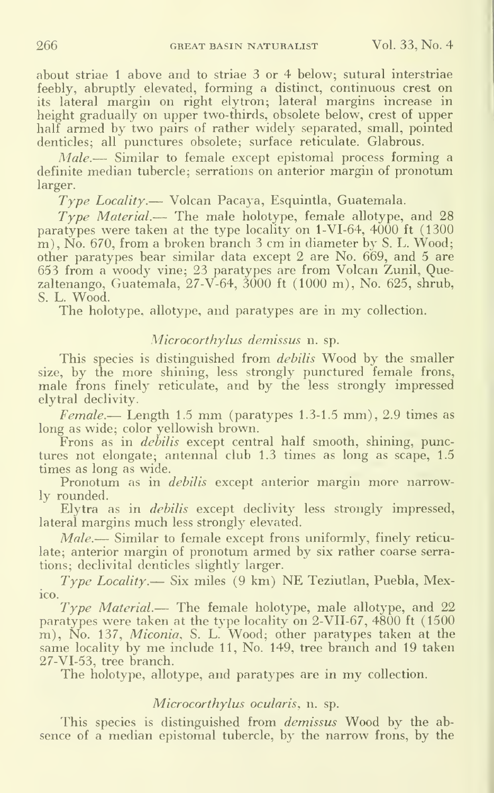about striae <sup>1</sup> above and to striae 3 or 4 below; sutural interstriae feebly, abruptly elevated, forming a distinct, continuous crest on its lateral margin on right elytron; lateral margins increase in height gradually on upper two-thirds, obsolete below, crest of upper half armed by two pairs of rather widely separated, small, pointed denticles: all punctures obsolete; surface reticulate. Glabrous.

Male.— Similar to female except epistomal process forming a definite median tubercle; serrations on anterior margin of pronotum larger.

 $Type$   $Locality$ — Volcan Pacaya, Esquintla, Guatemala.

 $Type Material$ . The male holotype, female allotype, and 28 paratypes were taken at the type locality on  $1-VI-64$ ,  $4000$  ft  $(1300$ m), No. 670, from a broken branch  $3 \text{ cm}$  in diameter by S. L. Wood; other paratypes bear similar data except 2 are No. 669, and 5 are 653 from a woody vine; 23 paratypes are from Volcan Zunil, Quezaltenango, Guatemala, 27-V-64, 3000 ft (1000 m). No. 625, shrub, S. L. Wood.

The holotype, allotype, and paratypes are in my collection.

# Microcorthylus demissus n. sp.

This species is distinguished from *debilis* Wood by the smaller size, by the more shining, less strongly punctured female frons, male frons finely reticulate, and by the less strongly impressed elytral declivity.

 $Female. - Length 1.5 mm (paratypes 1.3-1.5 mm), 2.9 times as$ long as wide; color yellowish brown.

Frons as in *debilis* except central half smooth, shining, punctures not elongate; antennal club 1.3 times as long as scape, 1.5 times as long as wide.

Pronotum as in *debilis* except anterior margin more narrowly rounded.

Elytra as in debilis except declivity less strongly impressed, lateral margins much less strongly elevated.

Male.— Similar to female except frons uniformly, finely reticulate; anterior margin of pronotum armed by six rather coarse serrations; declivital denticles slightly larger.

 $Type Locality.$  Six miles  $(9 \text{ km})$  NE Teziutlan, Puebla, Mexico.

 $Type Material$ — The female holotype, male allotype, and 22 paratypes were taken at the type locality on 2-VII-67, 4800 ft (1500 m), No. 137, Miconia, S. L. Wood; other paratypes taken at the same locality by me include 11, No. 149, tree branch and 19 taken 27-VI-53, tree branch.

The holotype, allotype, and paratypes are in my collection.

# Microcorthylus ocularis, n. sp.

This species is distinguished from *demissus* Wood by the absence of a median epistomal tubercle, by the narrow frons, by the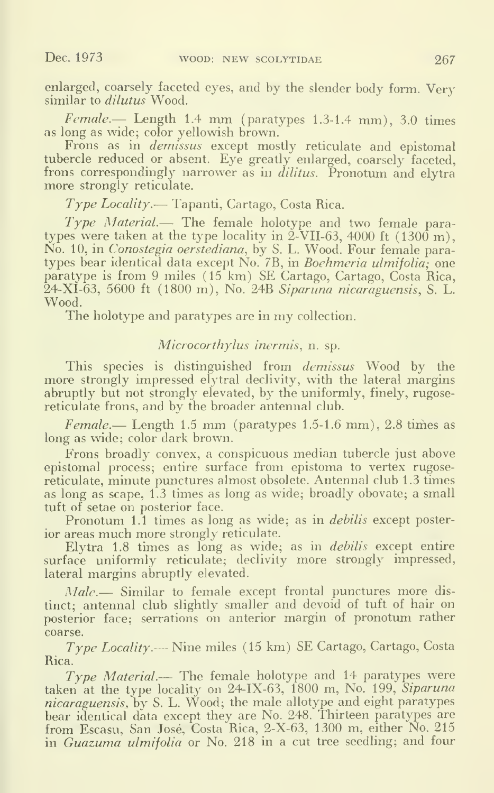enlarged, coarsely faceted eyes, and by the slender body form. Very similar to *dilutus* Wood.

 $Female.$  Length 1.4 mm (paratypes 1.3-1.4 mm), 3.0 times as long as wide; color yellowish brown.

Frons as in *demissus* except mostly reticulate and epistomal tubercle reduced or absent. Eye greatly enlarged, coarsely faceted, frons correspondingly narrower as in *dilitus*. Pronotum and elytra more strongly reticulate.

Type Locality.— Tapanti, Cartago, Costa Rica.

Type Material.— The female holotype and two female para types were taken at the type locality in  $2$ -VII-63, 4000 ft (1300 m). No. 10, in Conostegia oerstediana, by S. L. Wood. Four female para types bear identical data except No. 7B, in *Boehmeria ulmifolia*; one paratype is from 9 miles (15 km) SE Cartago, Cartago, Costa Rica, 24-XI-63, 5600 ft (1800 m). No. 24B Siparuna nicaraguensis, S. L. Wood.

The holotype and paratypes are in my collection.

# Microcorthylus inermis, n. sp.

This species is distinguished from *demissus* Wood by the more strongly impressed elytral declivity, with the lateral margins abruptly but not strongly elevated, by the uniformly, finely, rugosereticulate frons, and by the broader antennal club.

Female.— Length 1.5 mm (paratypes 1.5-1.6 mm), 2.8 times as long as wide; color dark brown.

Frons broadly convex, a conspicuous median tubercle just above epistomal process; entire surface from epistoma to vertex rugosereticulate, minute punctures almost obsolete. Antennal club 1.3 times as long as scape, 1.3 times as long as wide; broadly obovate; a small tuft of setae on posterior face.

Pronotum 1.1 times as long as wide; as in *debilis* except posterior areas much more strongly reticulate.

Elytra 1.8 times as long as wide; as in *debilis* except entire surface uniformly reticulate; declivity more strongly impressed, lateral margins abruptly elevated.

Male. Similar to female except frontal punctures more distinct; antennal club slightly smaller and devoid of tuft of hair on posterior face; serrations on anterior margin of pronotum rather coarse.

 $Type Locality$ . Nine miles (15 km) SE Cartago, Cartago, Costa Rica.

Type Material.— The female holotype and 14 paratypes were taken at the type locality on 24-IX-63, 1800 m, No. 199, Siparuna nicaraguensis, by S. L. Wood; the male allotype and eight paratypes bear identical data except they are No. 248. Thirteen paratypes are from Escasu, San José, Costa Rica, 2-X-63, 1300 m, either No. 215 in Guazuma ulmifolia or No. 218 in <sup>a</sup> cut tree seedhng; and four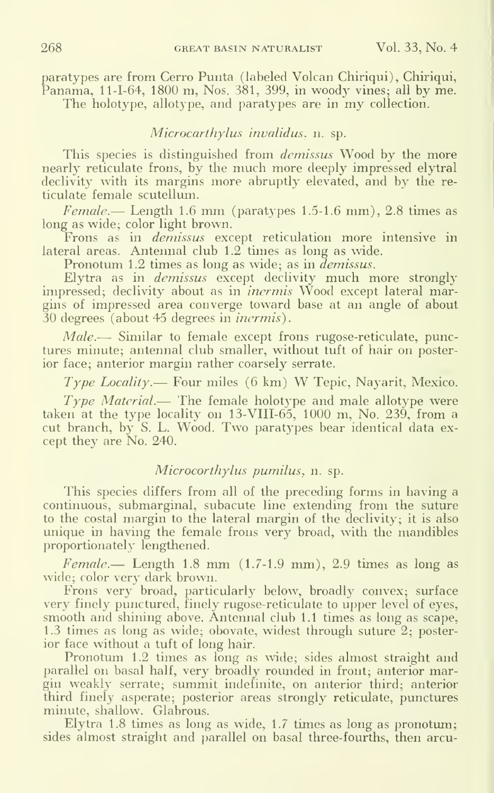paratypes are from Cerro Punta (labeled Volcan Chiriqui), Chiriqui, Panama, 11-1-64, 1800 m, Nos. 381, 399, in woody vines; all by me. The holotype, allotype, and paratypes are in my collection.

# Microcarthylus invalidus, n. sp.

This species is distinguished from *demissus* Wood by the more nearly reticulate frons, by the much more deeply impressed elytral declivity with its margins more abruptly elevated, and by the re ticulate female scutellum.

 $Female.$  Length 1.6 mm (paratypes 1.5-1.6 mm), 2.8 times as long as wide; color light brown.

Frons as in *demissus* except reticulation more intensive in lateral areas. Antennal club 1.2 times as long as wide.

Pronotum 1.2 times as long as wide; as in *demissus*.

Elytra as in demissus except declivity much more strongly impressed; declivity about as in *inermis* Wood except lateral margins of impressed area converge toward base at an angle of about 30 degrees (about 45 degrees in inermis).

Male.— Similar to female except frons rugose-reticulate, punctures minute; antennal club smaller, without tuft of hair on posterior face; anterior margin rather coarsely serrate.

 $Type Locality$ — Four miles (6 km) W Tepic, Nayarit, Mexico.

Type Material.— The female holotype and male allotype were taken at the type locality on  $13\text{-}VIII-65$ ,  $1000$  m, No.  $239$ , from a cut branch, by S. L. Wood. Two paratypes bear identical data ex cept they are No. 240.

# Microcorthylus pumilus, n. sp.

This species differs from all of the preceding forms in having a continuous, submarginal, subacute line extending from the suture to the costal margin to the lateral margin of the declivity; it is also unique in having the female frons very broad, with the mandibles proportionately lengthened.

 $Female.$  Length 1.8 mm  $(1.7-1.9$  mm), 2.9 times as long as wide; color very dark brown.

Frons very broad, particularly below, broadly convex; surface very finely punctured, finely rugose-reticulate to upper level of eyes, smooth and shining above. Antennal club 1.1 times as long as scape, 1.3 times as long as wide; obovate, widest through suture 2; posterior face without a tuft of long hair.

Pronotum 1.2 times as long as wide; sides almost straight and parallel on basal half, very broadly rounded in front; anterior margin weakly serrate; summit indefinite, on anterior third; anterior third finely asperate; posterior areas strongly reticulate, punctures minute, shallow. Glabrous.

Elytra 1.8 times as long as wide, 1.7 times as long as pronotum; sides almost straight and parallel on basal three-fourths, then arcu-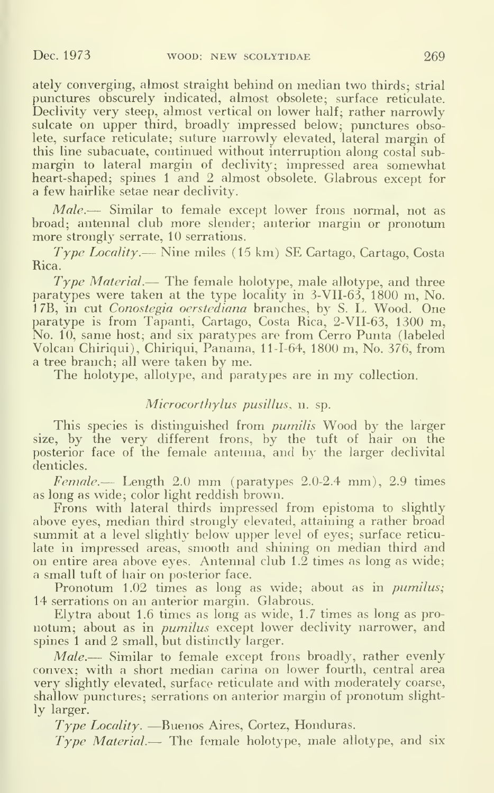ately converging, almost straight behind on median two thirds; strial punctures obscurely indicated, almost obsolete; surface reticulate. Declivity very steep, almost vertical on lower half; rather narrowly sulcate on upper third, broadly impressed below; punctures obsolete, surface reticulate; suture narrowly elevated, lateral margin of this line subacuate, continued without interruption along costal submargin to lateral margin of declivity; impressed area somewhat heart-shaped; spines 1 and 2 almost obsolete. Glabrous except for a few hairlike setae near declivity.

Male.— Similar to female except lower frons normal, not as broad; antennal club more slender; anterior margin or pronotum more strongly serrate, 10 serrations.

Type Locality. — Nine miles (15 km) SE Cartago, Cartago, Costa Rica.

 $Type Material$ — The female holotype, male allotype, and three paratypes were taken at the type locality in 3-VII-63, 1800 m. No. 17B, in cut Conostegia oerstediana branches, by S. L. Wood. One paratype is from Tapanti, Cartago, Costa Rica, 2-VII-63, 1300 m, No. 10, same host; and six paratypes are from Cerro Punta (labeled Volcan Chiriqui), Chiriqui, Panama, 11-1-64, 1800 m. No. 376, from a tree branch; all were taken by me.

The holotype, allotype, and paratypes are in my collection.

# Microcorthylus pusillus, n. sp.

This species is distinguished from *pumilis* Wood by the larger size, by the very different frons, by the tuft of hair on the posterior face of the female antenna, and by the larger declivital denticles.

 $Female. \qquad Length \, 2.0 \, \text{mm}$  (paratypes  $2.0-2.4 \, \text{mm}$ ),  $2.9 \, \text{times}$ as long as wide; color light reddish brown.

Frons with lateral thirds impressed from epistoma to slightly above eyes, median third strongly elevated, attaining a rather broad summit at a level slightly below upper level of eyes; surface reticulate in impressed areas, smooth and shining on median third and on entire area above eyes. Antennal club  $1.\overline{2}$  times as long as wide; a small tuft of hair on posterior face.

Pronotum 1.02 times as long as wide; about as in *pumilus*; 14 serrations on an anterior margin. Glabrous.

Elytra about 1.6 times as long as wide, 1.7 times as long as pro notum; about as in *pumilus* except lower declivity narrower, and spines <sup>1</sup> and 2 small, but distinctly larger.

Male.— Similar to female except frons broadly, rather evenly convex; with a short median carina on lower fourth, central area very slightly elevated, surface reticulate and with moderately coarse, shallow punctures; serrations on anterior margin of pronotum slightly larger.

 $Type$  *Locality*.  $\equiv$  Buenos Aires, Cortez, Honduras.

 $Type Material$ — The female holotype, male allotype, and six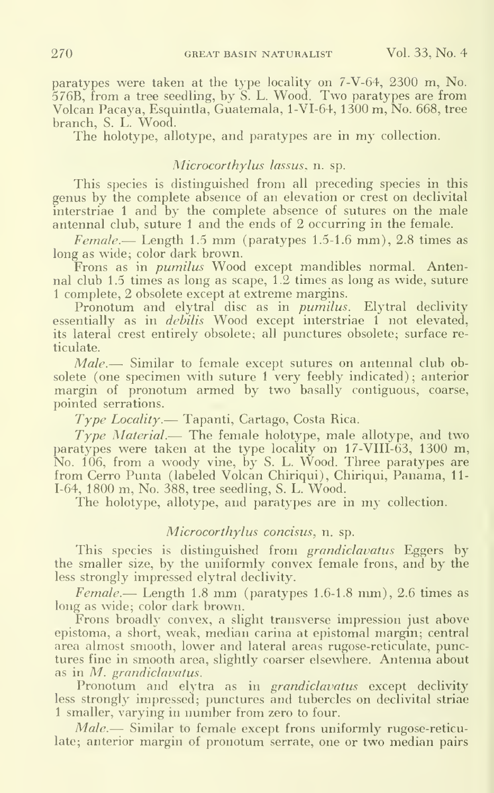paratypes were taken at the type locality on 7-V-64, 2300 m, No. 576B, from <sup>a</sup> tree seedling, by S. L. Wood. Two paratypes are from Volcan Pacaya, Esquintla, Guatemala, l-VI-64, 1300 m, No. 668, tree branch, S. L. Wood.

The holotype, allotype, and paratypes are in my collection.

# Microcorthylus lassus, n. sp.

This species is distinguished from all preceding species in this genus by the complete absence of an elevation or crest on declivital interstriae <sup>1</sup> and by the complete absence of sutures on the male antennal club, suture 1 and the ends of 2 occurring in the female.

 $Female.$  Length 1.5 mm (paratypes 1.5-1.6 mm), 2.8 times as long as wide; color dark brown.

Frons as in *pumilus* Wood except mandibles normal. Antennal club 1.5 times as long as scape, 1.2 times as long as wide, suture <sup>1</sup> complete, 2 obsolete except at extreme margins.

Pronotum and elytral disc as in *pumilus*. Elytral declivity essentially as in *debilis* Wood except interstriae 1 not elevated. its lateral crest entirely obsolete; all punctures obsolete; surface reticulate.

Male.— Similar to female except sutures on antennal club obsolete (one specimen with suture 1 very feebly indicated); anterior margin of pronotum armed by two basally contiguous, coarse, pointed serrations.

 $Type$  Locality. Tapanti, Cartago, Costa Rica.

Type Material.— The female holotype, male allotype, and two paratypes were taken at the type locality on 17-VIII-63, 1300 m, No. 106, from a woody vine, by S. L. Wood. Three paratypes are from Cerro Punta (labeled Volcan Chiriqui), Chiriqui, Panama, 11- 1-64, 1800 m. No. 388, tree seedling, S. L. Wood.

The holotype, allotype, and paratypes are in my collection.

### Microcorthylus concisus, n. sp.

This species is distinguished from grandiclavatus Eggers by the smaller size, by the uniformly convex female frons, and by the less strongly impressed elytral declivity.

Female.— Length 1.8 mm (paratypes 1.6-1.8 mm), 2.6 times as long as wide; color dark brown.

Frons broadly convex, a slight transverse impression just above epistoma, a short, weak, median carina at epistomal margin; central area almost smooth, lower and lateral areas rugose-reticulate, punctures fine in smooth area, slightly coarser elsewhere. Antenna about as in M. grandiclavatus.

Pronotum and elytra as in grandiclavatus except declivity less strongly impressed; punctures and tubercles on declivital striae <sup>1</sup> smaller, varying in number from zero to four.

Male.— Similar to female except frons uniformly rugose-reticulate; anterior margin of pronotum serrate, one or two median pairs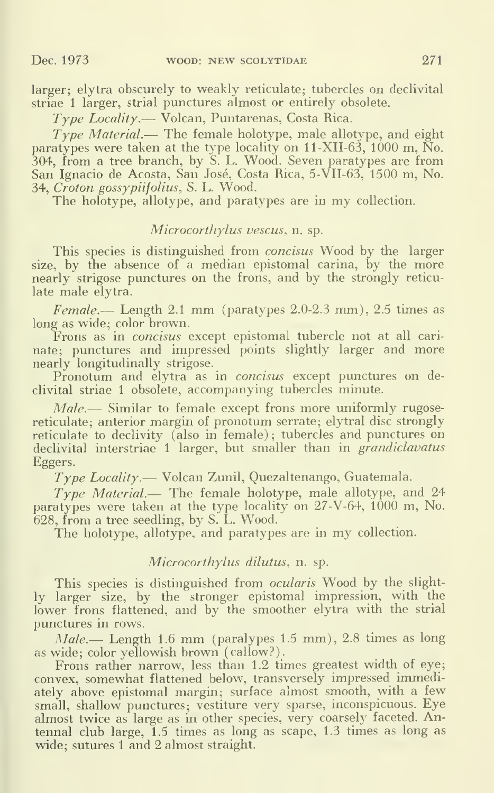larger; elytra obscurely to weakly reticulate; tubercles on declivital striae <sup>1</sup> larger, strial punctures almost or entirely obsolete.

Type Locality.— Volcan, Puntarenas, Costa Rica.

 $T_{Vpe}$  *Material.*— The female holotype, male allotype, and eight paratypes were taken at the type locality on 11-XII-63, 1000 m, No. 304, from a tree branch, by S. L. Wood. Seven paratypes are from San Ignacio de Acosta, San Jose, Costa Rica, 5-VII-63, 1500 m. No. 34, Croton gossypiifolius, S. L. Wood.

The holotype, allotype, and paratypes are in my collection.

# Microcorthylus vescus, n. sp.

This species is distinguished from *concisus* Wood by the larger size, by the absence of a median epistomal carina, by the more nearly strigose punctures on the frons, and by the strongly reticulate male elytra.

Female.— Length 2.1 mm (paratypes 2.0-2.3 mm), 2.5 times as long as wide; color brown.

Frons as in *concisus* except epistomal tubercle not at all carinate; punctures and impressed points slightly larger and more nearly longitudinally strigose.

Pronotum and elytra as in *concisus* except punctures on declivital striae <sup>1</sup> obsolete, accompanying tubercles minute.

Male.— Similar to female except frons more uniformly rugosereticulate; anterior margin of pronotum serrate; elytral disc strongly reticulate to declivity (also in female); tubercles and punctures on declivital interstriae 1 larger, but smaller than in *grandiclavatus* Eggers.

 $Type Locality$  — Volcan Zunil, Quezaltenango, Guatemala.

Type Material.— The female holotype, male allotype, and <sup>24</sup> paratypes were taken at the type locality on 27-V-64, 1000 m, No. 628, from a tree seedling, by S. L. Wood.

The holotype, allotype, and paratypes are in my collection.

# Microcorthylus dilutus, n. sp.

This species is distinguished from *ocularis* Wood by the slightly larger size, by the stronger epistomal impression, with the lower frons flattened, and by the smoother elytra with the strial punctures in rows.

Male.— Length 1.6 mm (paralypes 1.5 mm), 2.8 times as long as wide; color yellowish brown (callow?).

Frons rather narrow, less than 1.2 times greatest width of eye; convex, somewhat flattened below, transversely impressed immediately above epistomal margin; surface almost smooth, with a few small, shallow punctures; vestiture very sparse, inconspicuous. Eye almost twice as large as in other species, very coarsely faceted. Antennal club large, 1.5 times as long as scape, 1.3 times as long as wide; sutures 1 and 2 almost straight.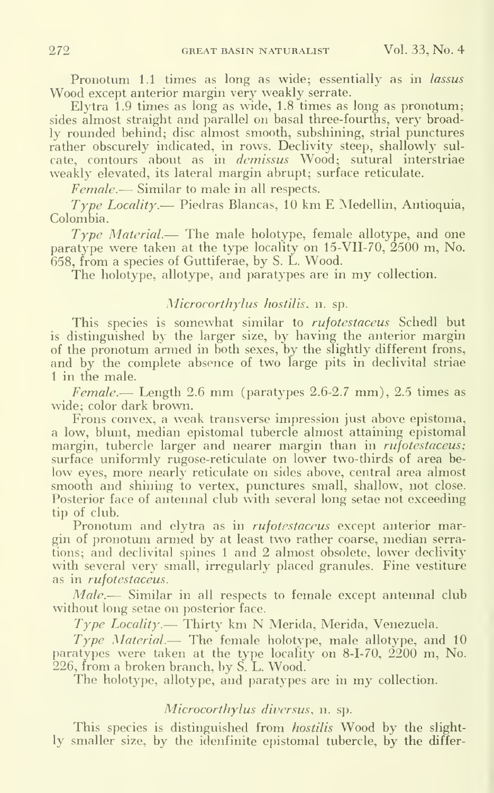Pronotum 1.1 times as long as wide; essentially as in lassus Wood except anterior margin very weakly serrate.

Elytra 1.9 times as long as wide, 1.8 times as long as pronotum; sides almost straight and parallel on basal three-fourths, very broadly rounded behind; disc almost smooth, subshining, strial punctures rather obscurely indicated, in rows. Declivity steep, shallowly sulcate, contours about as in *demissus* Wood; sutural interstriae weakly elevated, its lateral margin abrupt; surface reticulate.

Female.— Similar to male in all respects.

 $Type Locality$ — Piedras Blancas, 10 km E Medellin, Antioquia, Colombia.

Type Material.— The male holotype, female allotype, and one paratype were taken at the type locality on 15-VII-70, 2500 m, No. 658, from a species of Guttiferae, by S. L. Wood.

The holotype, allotype, and paratypes are in my collection.

# Microcorthylus hostilis, n. sp.

This species is somewhat similar to rufotestaceus Schedl but is distinguished by the larger size, by having the anterior margin of the pronotum armed in both sexes, by the slightly different frons, and by the complete absence of two large pits in declivital striae <sup>1</sup> in the male.

Female.— Length 2.6 mm (paratypes  $2.6$ -2.7 mm), 2.5 times as wide; color dark brown.

Frons convex, a weak transverse impression just above epistoma, a low, blunt, median epistomal tubercle almost attaining epistomal margin, tubercle larger and nearer margin than in *rufotestaceus*; surface uniformly rugose-reticulate on lower two-thirds of area be low eyes, more nearly reticulate on sides above, central area almost smooth and shining to vertex, punctures small, shallow, not close. Posterior face of antennal club with several long setae not exceeding tip of club.

Pronotum and elytra as in *rufotestaceus* except anterior margin of pronotum armed by at least two rather coarse, median serrations; and declivital spines <sup>1</sup> and 2 almost obsolete, lower declivity with several very small, irregularly placed granules. Fine vestiture as in *rufotestaceus*.

Male.— Similar in all respects to female except antennal club without long setae on posterior face.

 $Type$  Locality. Thirty km N Merida, Merida, Venezuela.

Type Material.— The female holotype, male allotype, and <sup>10</sup> paratypes were taken at the type locality on 8-1-70, 2200 m, No. 226, from a broken branch, by S. L. Wood.

The holotype, allotype, and paratypes are in my collection.

# Microcorthylus diversus, n. sp.

This species is distinguished from *hostilis* Wood by the slightly smaller size, by the idenfinite epistomal tubercle, by the differ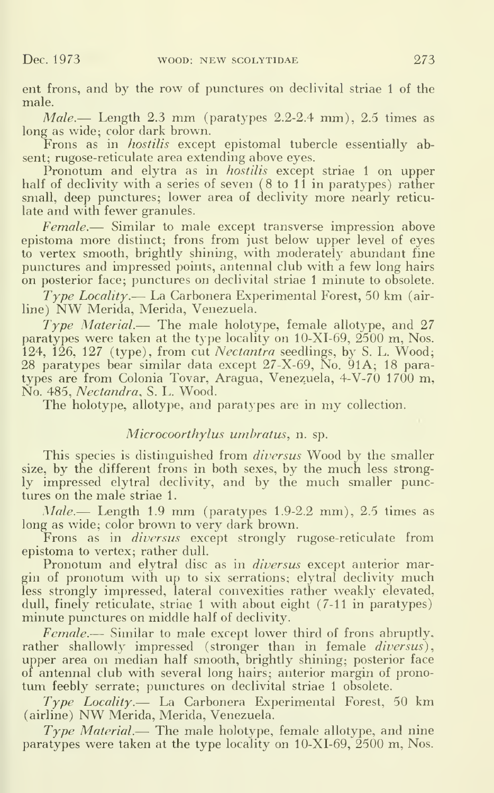ent frons, and by the row of punctures on declivital striae <sup>1</sup> of the male.

 $Male$ — Length 2.3 mm (paratypes 2.2-2.4 mm), 2.5 times as long as wide; color dark brown.

Frons as in *hostilis* except epistomal tubercle essentially absent; rugose-reticulate area extending above eyes.

Pronotum and elytra as in *hostilis* except striae 1 on upper half of declivity with a series of seven  $(8 \text{ to } 11 \text{ in }$  paratypes) rather small, deep punctures; lower area of declivity more nearly reticulate and with fewer granules.

Female.— Similar to male except transverse impression above epistoma more distinct; frons from just below upper level of eves to vertex smooth, brightly shining, with moderately abundant fine punctures and impressed points, antennal club with a few long hairs on posterior face; punctures on declivital striae <sup>1</sup> minute to obsolete.

 $Type$  *Locality*.— La Carbonera Experimental Forest, 50 km (airline) NW Merida, Merida, Venezuela.

Type Material.— The male holotype, female allotype, and <sup>27</sup> paratypes were taken at the type locality on  $10\text{-}XI-69$ ,  $2500 \text{ m}$ , Nos. 124, 126, 127 (type), from cut *Nectantra* seedlings, by S. L. Wood; 28 paratypes bear similar data except 27-X-69, No. 91A; 18 paratypes are from Colonia Tovar, Aragua, Venezuela, 4-V-70 1700 m, No. 485, Nectandra, S. L. Wood.

The holotype, allotype, and paratypes are in my collection.

# Microcoorthylus umbratus, n. sp.

This species is distinguished from *diversus* Wood by the smaller size, by the different frons in both sexes, by the much less strongly impressed elytral declivity, and by the much smaller punctures on the male striae <sup>1</sup>

 $Male$ — Length 1.9 mm (paratypes 1.9-2.2 mm), 2.5 times as long as wide; color brown to very dark brown.

Frons as in *diversus* except strongly rugose-reticulate from epistoma to vertex; rather dull.

Pronotum and elytral disc as in *diversus* except anterior margin of pronotum with up to six serrations; elytral declivity much less strongly impressed, lateral convexities rather weakly elevated, dull, finely reticulate, striae 1 with about eight (7-11 in paratypes) minute punctures on middle half of declivity.

Female.— Similar to male except lower third of frons abruptly, rather shallowly impressed (stronger than in female *diversus*), upper area on median half smooth, brightly shining; posterior face of antennal club with several long hairs; anterior margin of pronotum feebly serrate; punctures on declivital striae <sup>1</sup> obsolete.

Type Locality. La Carbonera Experimental Forest, 50 km (airline) NW Merida, Merida, Venezuela.

Type Material.— The male holotype, female allotype, and nine paratypes were taken at the type locality on  $10-XI-69$ ,  $2500$  m, Nos.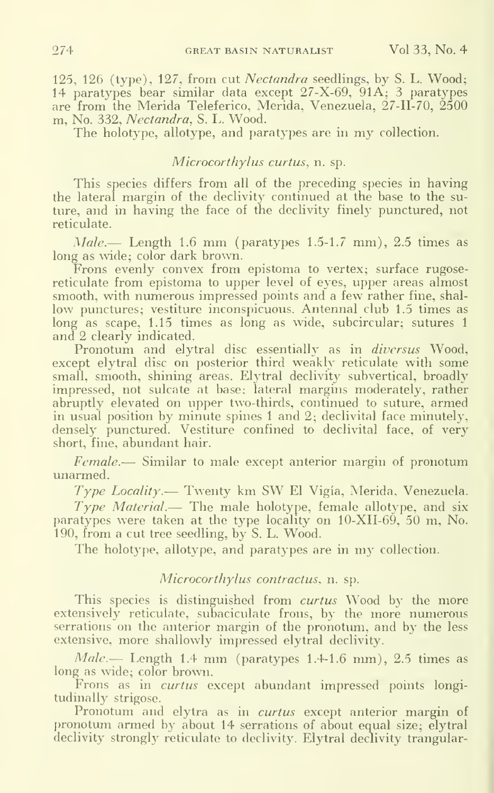125, 126 (type), 127, from cut Nectandra seedlings, by S. L. Wood; 14 paratypes bear similar data except 27-X-69, 91A; 3 paratypes are from the Merida Teleferico, Merida, Venezuela, 27-11-70, 2500 m. No. 332, Nectandra, S. L. Wood.

The holotype, allotype, and paratypes are in my collection.

# Microcorthylus curtus, n. sp.

This species differs from all of the preceding species in having the lateral margin of the declivity continued at the base to the suture, and in having the face of the declivity finely punctured, not reticulate.

 $Male$ — Length 1.6 mm (paratypes 1.5-1.7 mm), 2.5 times as long as wide; color dark brown.

Frons evenly convex from epistoma to vertex; surface rugosereticulate from epistoma to upper level of eyes, upper areas almost smooth, with numerous impressed points and a few rather fine, shallow punctures; vestiture inconspicuous. Antennal club 1.5 times as long as scape, 1.15 times as long as wide, subcircular; sutures 1 and 2 clearly indicated.

Pronotum and elytral disc essentially as in *diversus* Wood, except elytral disc on posterior third weakly reticulate with some small, smooth, shining areas. Elytral declivity subvertical, broadly impressed, not sulcate at base; lateral margins moderately, rather abruptly elevated on upper two-thirds, continued to suture, armed in usual position by minute spines <sup>1</sup> and 2; declivital face minutely, densely punctured. Vestiture confined to declivital face, of very short, fine, abundant hair.

Female.— Similar to male except anterior margin of pronotum unarmed.

Type Locality. — Twenty km SW El Vigia, Merida, Venezuela.

Type Material.— The male holotype, female allotype, and six paratypes were taken at the type locality on  $10\text{-}XII-69, 50$  m, No. 190, from a cut tree seedling, by S. L. Wood.

The holotype, allotype, and paratypes are in my collection.

# Microcorthylus contractus, n. sp.

This species is distinguished from *curtus* Wood by the more extensively reticulate, subaciculate frons, by the more numerous serrations on the anterior margin of the pronotum, and by the less extensive, more shallowly impressed elytral declivity.

Male.— Length 1.4 mm (paratypes 1.4-1.6 mm), 2.5 times as long as wide; color brown.

Frons as in *curtus* except abundant impressed points longitudinally strigose.

Pronotum and elytra as in curtus except anterior margin of pronotum armed by about 14 serrations of about equal size; elytral declivity strongly reticulate to declivity. Elytral declivity trangular-